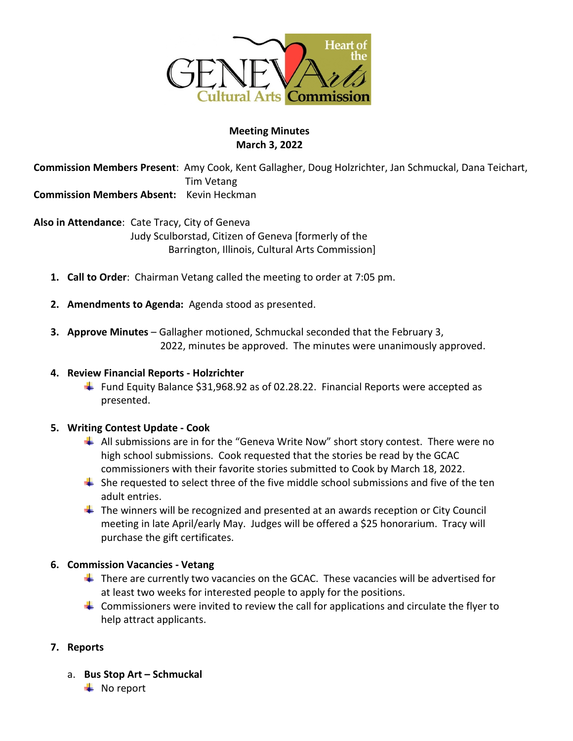

### **Meeting Minutes March 3, 2022**

**Commission Members Present**: Amy Cook, Kent Gallagher, Doug Holzrichter, Jan Schmuckal, Dana Teichart, Tim Vetang **Commission Members Absent:** Kevin Heckman

**Also in Attendance**: Cate Tracy, City of Geneva Judy Sculborstad, Citizen of Geneva [formerly of the Barrington, Illinois, Cultural Arts Commission]

- **1. Call to Order**: Chairman Vetang called the meeting to order at 7:05 pm.
- **2. Amendments to Agenda:** Agenda stood as presented.
- **3. Approve Minutes** Gallagher motioned, Schmuckal seconded that the February 3, 2022, minutes be approved. The minutes were unanimously approved.

#### **4. Review Financial Reports - Holzrichter**

Fund Equity Balance \$31,968.92 as of 02.28.22. Financial Reports were accepted as presented.

### **5. Writing Contest Update - Cook**

- $\downarrow$  All submissions are in for the "Geneva Write Now" short story contest. There were no high school submissions. Cook requested that the stories be read by the GCAC commissioners with their favorite stories submitted to Cook by March 18, 2022.
- $\ddot{\phantom{1}}$  She requested to select three of the five middle school submissions and five of the ten adult entries.
- $\ddot{\phantom{1}}$  The winners will be recognized and presented at an awards reception or City Council meeting in late April/early May. Judges will be offered a \$25 honorarium. Tracy will purchase the gift certificates.

#### **6. Commission Vacancies - Vetang**

- $\ddot{\phantom{1}}$  There are currently two vacancies on the GCAC. These vacancies will be advertised for at least two weeks for interested people to apply for the positions.
- $\ddot{\phantom{1}}$  Commissioners were invited to review the call for applications and circulate the flyer to help attract applicants.

### **7. Reports**

- a. **Bus Stop Art – Schmuckal**
	- $\blacksquare$  No report